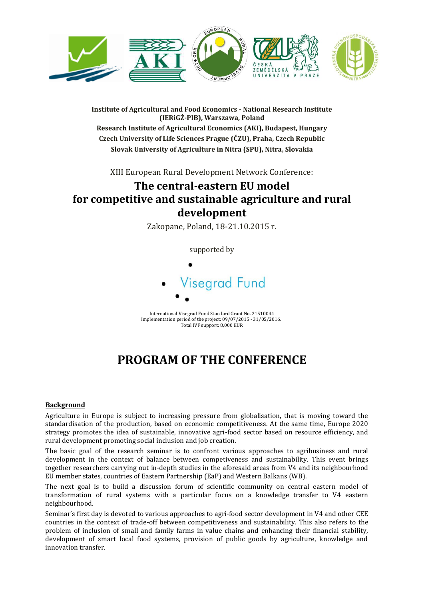

**Institute of Agricultural and Food Economics - National Research Institute (IERiGŻ-PIB), Warszawa, Poland Research Institute of Agricultural Economics (AKI), Budapest, Hungary**

**Czech University of Life Sciences Prague (ČZU), Praha, Czech Republic Slovak University of Agriculture in Nitra (SPU), Nitra, Slovakia**

XIII European Rural Development Network Conference:

# **The central-eastern EU model for competitive and sustainable agriculture and rural development**

Zakopane, Poland, 18-21.10.2015 r.

supported by



International Visegrad Fund Standard Grant No. 21510044 Implementation period of the project: 09/07/2015 - 31/05/2016. Total IVF support: 8,000 EUR

# **PROGRAM OF THE CONFERENCE**

## **Background**

Agriculture in Europe is subject to increasing pressure from globalisation, that is moving toward the standardisation of the production, based on economic competitiveness. At the same time, Europe 2020 strategy promotes the idea of sustainable, innovative agri-food sector based on resource efficiency, and rural development promoting social inclusion and job creation.

The basic goal of the research seminar is to confront various approaches to agribusiness and rural development in the context of balance between competiveness and sustainability. This event brings together researchers carrying out in-depth studies in the aforesaid areas from V4 and its neighbourhood EU member states, countries of Eastern Partnership (EaP) and Western Balkans (WB).

The next goal is to build a discussion forum of scientific community on central eastern model of transformation of rural systems with a particular focus on a knowledge transfer to V4 eastern neighbourhood.

Seminar's first day is devoted to various approaches to agri-food sector development in V4 and other CEE countries in the context of trade-off between competitiveness and sustainability. This also refers to the problem of inclusion of small and family farms in value chains and enhancing their financial stability, development of smart local food systems, provision of public goods by agriculture, knowledge and innovation transfer.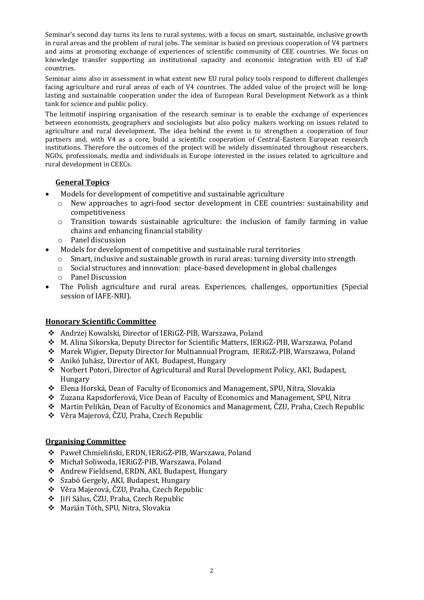Seminar's second day turns its lens to rural systems, with a focus on smart, sustainable, inclusive growth in rural areas and the problem of rural jobs. The seminar is based on previous cooperation of V4 partners and aims at promoting exchange of experiences of scientific community of CEE countries. We focus on knowledge transfer supporting an institutional capacity and economic integration with EU of EaP countries.

Seminar aims also in assessment in what extent new EU rural policy tools respond to different challenges facing agriculture and rural areas of each of V4 countries. The added value of the project will be longlasting and sustainable cooperation under the idea of European Rural Development Network as a think tank for science and public policy.

The leitmotif inspiring organisation of the research seminar is to enable the exchange of experiences between economists, geographers and sociologists but also policy makers working on issues related to agriculture and rural development. The idea behind the event is to strengthen a cooperation of four partners and, with V4 as a core, build a scientific cooperation of Central-Eastern European research institutions. Therefore the outcomes of the project will be widely disseminated throughout researchers, NGOs, professionals, media and individuals in Europe interested in the issues related to agriculture and rural development in CEECs.

# **General Topics**

- Models for development of competitive and sustainable agriculture
	- o New approaches to agri-food sector development in CEE countries: sustainability and competitiveness
	- o Transition towards sustainable agriculture: the inclusion of family farming in value chains and enhancing financial stability
	- o Panel discussion
- Models for development of competitive and sustainable rural territories
	- o Smart, inclusive and sustainable growth in rural areas: turning diversity into strength
	- o Social structures and innovation: place-based development in global challenges
	- o Panel Discussion
- The Polish agriculture and rural areas. Experiences, challenges, opportunities (Special session of IAFE-NRI).

## **Honorary Scientific Committee**

- Andrzej Kowalski, Director of IERiGŻ-PIB, Warszawa, Poland
- M. Alina Sikorska, Deputy Director for Scientific Matters, IERiGŻ-PIB, Warszawa, Poland
- Marek Wigier, Deputy Director for Multiannual Program, IERiGŻ-PIB, Warszawa, Poland
- Anikó Juhász, Director of AKI, Budapest, Hungary
- Norbert Potori, Director of Agricultural and Rural Development Policy, AKI, Budapest, Hungary
- Elena Horská, Dean of Faculty of Economics and Management, SPU, Nitra, Slovakia
- Zuzana Kapsdorferová, Vice Dean of Faculty of Economics and Management, SPU, Nitra
- Martin Pelikán, Dean of Faculty of Economics and Management, ČZU, Praha, Czech Republic
- Věra Majerová, ČZU, Praha, Czech Republic

## **Organising Committee**

- Paweł Chmieliński, ERDN, IERiGŻ-PIB, Warszawa, Poland
- Michał Soliwoda, IERiGŻ-PIB, Warszawa, Poland
- Andrew Fieldsend, ERDN, AKI, Budapest, Hungary
- Szabó Gergely, AKI, Budapest, Hungary
- Věra Majerová, ČZU, Praha, Czech Republic
- Jiří Sálus, ČZU, Praha, Czech Republic
- Marián Tóth, SPU, Nitra, Slovakia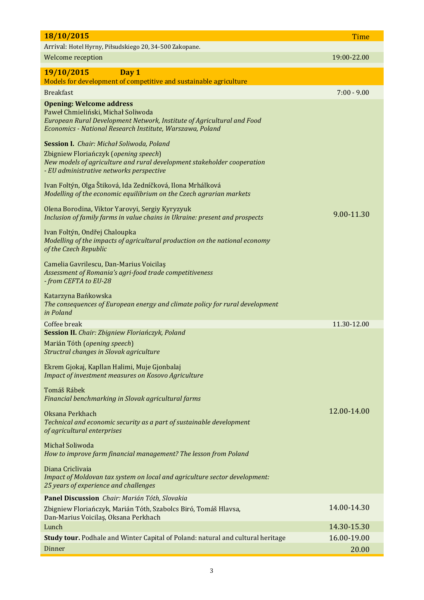| 18/10/2015                                                                                                                                                   | <b>Time</b>                |
|--------------------------------------------------------------------------------------------------------------------------------------------------------------|----------------------------|
| Arrival: Hotel Hyrny, Piłsudskiego 20, 34-500 Zakopane.                                                                                                      |                            |
| Welcome reception                                                                                                                                            | 19:00-22.00                |
| 19/10/2015<br>Day 1                                                                                                                                          |                            |
| Models for development of competitive and sustainable agriculture                                                                                            |                            |
| <b>Breakfast</b>                                                                                                                                             | $7:00 - 9.00$              |
| <b>Opening: Welcome address</b><br>Paweł Chmieliński, Michał Soliwoda                                                                                        |                            |
| European Rural Development Network, Institute of Agricultural and Food<br>Economics - National Research Institute, Warszawa, Poland                          |                            |
| <b>Session I.</b> Chair: Michał Soliwoda, Poland                                                                                                             |                            |
| Zbigniew Floriańczyk (opening speech)<br>New models of agriculture and rural development stakeholder cooperation<br>- EU administrative networks perspective |                            |
|                                                                                                                                                              |                            |
| Ivan Foltýn, Olga Štiková, Ida Zedníčková, Ilona Mrhálková<br>Modelling of the economic equilibrium on the Czech agrarian markets                            |                            |
| Olena Borodina, Viktor Yarovyi, Sergiy Kyryzyuk<br>Inclusion of family farms in value chains in Ukraine: present and prospects                               | 9.00-11.30                 |
| Ivan Foltýn, Ondřej Chaloupka<br>Modelling of the impacts of agricultural production on the national economy                                                 |                            |
| of the Czech Republic                                                                                                                                        |                            |
| Camelia Gavrilescu, Dan-Marius Voicilaș<br>Assessment of Romania's agri-food trade competitiveness<br>- from CEFTA to EU-28                                  |                            |
| Katarzyna Bańkowska<br>The consequences of European energy and climate policy for rural development<br>in Poland                                             |                            |
| Coffee break                                                                                                                                                 | 11.30-12.00                |
| Session II. Chair: Zbigniew Floriańczyk, Poland<br>Marián Tóth (opening speech)                                                                              |                            |
| Structral changes in Slovak agriculture                                                                                                                      |                            |
| Ekrem Gjokaj, Kapllan Halimi, Muje Gjonbalaj<br>Impact of investment measures on Kosovo Agriculture                                                          |                            |
| Tomáš Rábek<br>Financial benchmarking in Slovak agricultural farms                                                                                           |                            |
| Oksana Perkhach<br>Technical and economic security as a part of sustainable development<br>of agricultural enterprises                                       | 12.00-14.00                |
| Michał Soliwoda<br>How to improve farm financial management? The lesson from Poland                                                                          |                            |
| Diana Criclivaia<br>Impact of Moldovan tax system on local and agriculture sector development:<br>25 years of experience and challenges                      |                            |
| Panel Discussion Chair: Marián Tóth, Slovakia                                                                                                                |                            |
| Zbigniew Floriańczyk, Marián Tóth, Szabolcs Biró, Tomáš Hlavsa,<br>Dan-Marius Voicilaș, Oksana Perkhach                                                      | 14.00-14.30                |
| Lunch<br>Study tour. Podhale and Winter Capital of Poland: natural and cultural heritage                                                                     | 14.30-15.30<br>16.00-19.00 |
| Dinner                                                                                                                                                       | 20.00                      |
|                                                                                                                                                              |                            |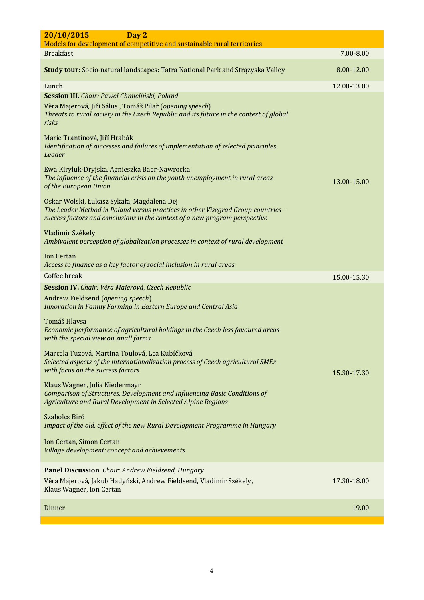| 20/10/2015<br>Day 2                                                                                                                                                                                           |             |
|---------------------------------------------------------------------------------------------------------------------------------------------------------------------------------------------------------------|-------------|
| Models for development of competitive and sustainable rural territories                                                                                                                                       |             |
| <b>Breakfast</b>                                                                                                                                                                                              | 7.00-8.00   |
|                                                                                                                                                                                                               |             |
| Study tour: Socio-natural landscapes: Tatra National Park and Strążyska Valley                                                                                                                                | 8.00-12.00  |
| Lunch                                                                                                                                                                                                         | 12.00-13.00 |
| Session III. Chair: Paweł Chmieliński, Poland<br>Věra Majerová, Jiří Sálus, Tomáš Pilař (opening speech)<br>Threats to rural society in the Czech Republic and its future in the context of global<br>risks   |             |
| Marie Trantinová, Jiří Hrabák<br>Identification of successes and failures of implementation of selected principles<br>Leader                                                                                  |             |
| Ewa Kiryluk-Dryjska, Agnieszka Baer-Nawrocka<br>The influence of the financial crisis on the youth unemployment in rural areas<br>of the European Union                                                       | 13.00-15.00 |
| Oskar Wolski, Łukasz Sykała, Magdalena Dej<br>The Leader Method in Poland versus practices in other Visegrad Group countries -<br>success factors and conclusions in the context of a new program perspective |             |
| Vladimir Székely<br>Ambivalent perception of globalization processes in context of rural development                                                                                                          |             |
| <b>Ion Certan</b><br>Access to finance as a key factor of social inclusion in rural areas                                                                                                                     |             |
| Coffee break                                                                                                                                                                                                  | 15.00-15.30 |
| Session IV. Chair: Věra Majerová, Czech Republic                                                                                                                                                              |             |
| Andrew Fieldsend (opening speech)<br>Innovation in Family Farming in Eastern Europe and Central Asia                                                                                                          |             |
| Tomáš Hlavsa<br>Economic performance of agricultural holdings in the Czech less favoured areas<br>with the special view on small farms                                                                        |             |
| Marcela Tuzová, Martina Toulová, Lea Kubíčková<br>Selected aspects of the internationalization process of Czech agricultural SMEs<br>with focus on the success factors                                        | 15.30-17.30 |
| Klaus Wagner, Julia Niedermayr<br>Comparison of Structures, Development and Influencing Basic Conditions of<br>Agriculture and Rural Development in Selected Alpine Regions                                   |             |
| Szabolcs Biró<br>Impact of the old, effect of the new Rural Development Programme in Hungary                                                                                                                  |             |
| Ion Certan, Simon Certan<br>Village development: concept and achievements                                                                                                                                     |             |
| Panel Discussion Chair: Andrew Fieldsend, Hungary<br>Věra Majerová, Jakub Hadyński, Andrew Fieldsend, Vladimir Székely,<br>Klaus Wagner, Ion Certan                                                           | 17.30-18.00 |
| Dinner                                                                                                                                                                                                        | 19.00       |